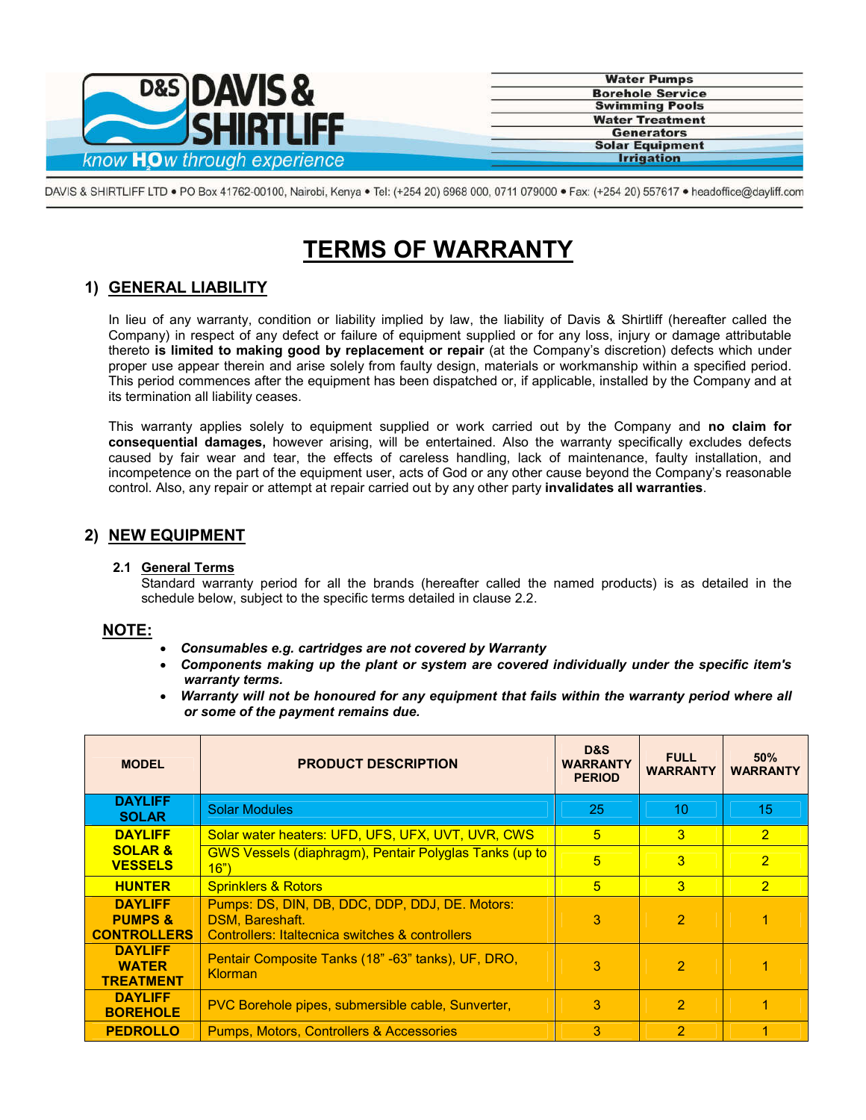

**Water Pumps Borehole Service Swimming Pools Water Treatment Generators Solar Equipment Irrigation** 

DAVIS & SHIRTLIFF LTD . PO Box 41762-00100, Nairobi, Kenya . Tel: (+254 20) 6968 000, 0711 079000 . Fax: (+254 20) 557617 . headoffice@dayliff.com

# **TERMS OF WARRANTY**

# **1) GENERAL LIABILITY**

In lieu of any warranty, condition or liability implied by law, the liability of Davis & Shirtliff (hereafter called the Company) in respect of any defect or failure of equipment supplied or for any loss, injury or damage attributable thereto **is limited to making good by replacement or repair** (at the Company's discretion) defects which under proper use appear therein and arise solely from faulty design, materials or workmanship within a specified period. This period commences after the equipment has been dispatched or, if applicable, installed by the Company and at its termination all liability ceases.

This warranty applies solely to equipment supplied or work carried out by the Company and **no claim for consequential damages,** however arising, will be entertained. Also the warranty specifically excludes defects caused by fair wear and tear, the effects of careless handling, lack of maintenance, faulty installation, and incompetence on the part of the equipment user, acts of God or any other cause beyond the Company's reasonable control. Also, any repair or attempt at repair carried out by any other party **invalidates all warranties**.

# **2) NEW EQUIPMENT**

### **2.1 General Terms**

Standard warranty period for all the brands (hereafter called the named products) is as detailed in the schedule below, subject to the specific terms detailed in clause 2.2.

# **NOTE:**

- *Consumables e.g. cartridges are not covered by Warranty*
- *Components making up the plant or system are covered individually under the specific item's warranty terms.*
- *Warranty will not be honoured for any equipment that fails within the warranty period where all or some of the payment remains due.*

| <b>MODEL</b>                                               | <b>PRODUCT DESCRIPTION</b>                                                                                           | D&S<br><b>WARRANTY</b><br><b>PERIOD</b> | <b>FULL</b><br><b>WARRANTY</b> | 50%<br><b>WARRANTY</b> |
|------------------------------------------------------------|----------------------------------------------------------------------------------------------------------------------|-----------------------------------------|--------------------------------|------------------------|
| <b>DAYLIFF</b><br><b>SOLAR</b>                             | <b>Solar Modules</b>                                                                                                 | 25                                      | 10                             | 15                     |
| <b>DAYLIFF</b>                                             | Solar water heaters: UFD, UFS, UFX, UVT, UVR, CWS                                                                    | 5                                       | 3                              | $\overline{2}$         |
| <b>SOLAR &amp;</b><br><b>VESSELS</b>                       | <b>GWS Vessels (diaphragm), Pentair Polyglas Tanks (up to</b><br>16")                                                | 5                                       | 3                              | $\overline{2}$         |
| <b>HUNTER</b>                                              | <b>Sprinklers &amp; Rotors</b>                                                                                       | 5                                       | 3                              | $\overline{2}$         |
| <b>DAYLIFF</b><br><b>PUMPS &amp;</b><br><b>CONTROLLERS</b> | Pumps: DS, DIN, DB, DDC, DDP, DDJ, DE. Motors:<br>DSM, Bareshaft.<br>Controllers: Italtecnica switches & controllers | 3                                       | $\mathcal{P}$                  |                        |
| <b>DAYLIFF</b><br><b>WATER</b><br><b>TREATMENT</b>         | Pentair Composite Tanks (18" -63" tanks), UF, DRO,<br>Klorman                                                        | 3                                       | $\overline{2}$                 |                        |
| <b>DAYLIFF</b><br><b>BOREHOLE</b>                          | PVC Borehole pipes, submersible cable, Sunverter,                                                                    | 3                                       | $\overline{2}$                 |                        |
| <b>PEDROLLO</b>                                            | <b>Pumps, Motors, Controllers &amp; Accessories</b>                                                                  | 3                                       | $\mathcal{P}$                  |                        |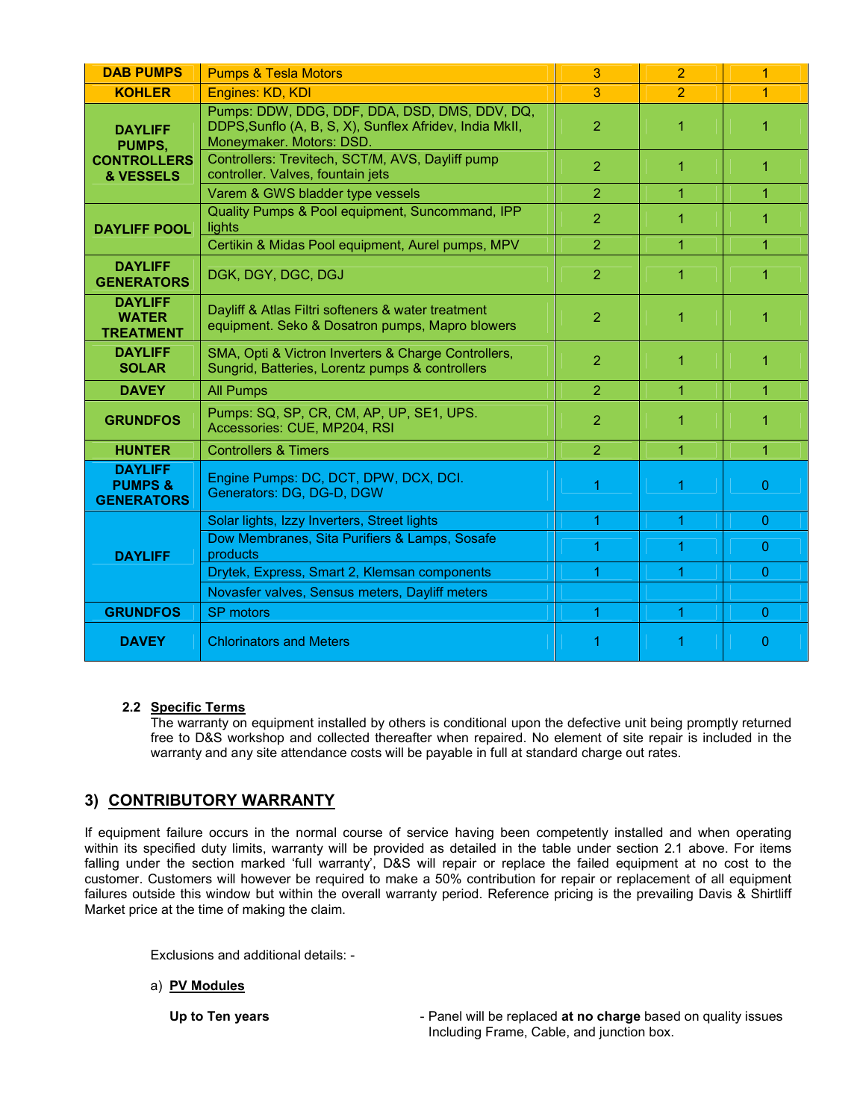| <b>DAB PUMPS</b>                                            | <b>Pumps &amp; Tesla Motors</b>                                                                                                      | 3              | 2              | $\overline{1}$ |
|-------------------------------------------------------------|--------------------------------------------------------------------------------------------------------------------------------------|----------------|----------------|----------------|
| <b>KOHLER</b>                                               | Engines: KD, KDI                                                                                                                     | 3              | $\overline{2}$ | $\overline{1}$ |
| <b>DAYLIFF</b><br>PUMPS,<br><b>CONTROLLERS</b><br>& VESSELS | Pumps: DDW, DDG, DDF, DDA, DSD, DMS, DDV, DQ,<br>DDPS, Sunflo (A, B, S, X), Sunflex Afridev, India MkII,<br>Moneymaker. Motors: DSD. | 2              | 1              | 1              |
|                                                             | Controllers: Trevitech, SCT/M, AVS, Dayliff pump<br>controller. Valves, fountain jets                                                | $\overline{2}$ | $\mathbf{1}$   | 1              |
|                                                             | Varem & GWS bladder type vessels                                                                                                     | $\overline{2}$ | 1              | 1              |
| <b>DAYLIFF POOL</b>                                         | Quality Pumps & Pool equipment, Suncommand, IPP<br>lights                                                                            | $\overline{2}$ | 1              | 1              |
|                                                             | Certikin & Midas Pool equipment, Aurel pumps, MPV                                                                                    | $\overline{2}$ | 1              | 1              |
| <b>DAYLIFF</b><br><b>GENERATORS</b>                         | DGK, DGY, DGC, DGJ                                                                                                                   | $\overline{2}$ | 1              | 1              |
| <b>DAYLIFF</b><br><b>WATER</b><br><b>TREATMENT</b>          | Dayliff & Atlas Filtri softeners & water treatment<br>equipment. Seko & Dosatron pumps, Mapro blowers                                | $\overline{2}$ | 1              | 1              |
| <b>DAYLIFF</b><br><b>SOLAR</b>                              | SMA, Opti & Victron Inverters & Charge Controllers,<br>Sungrid, Batteries, Lorentz pumps & controllers                               | $\overline{2}$ | 1              | 1              |
| <b>DAVEY</b>                                                | <b>All Pumps</b>                                                                                                                     | $\overline{2}$ | 1              | $\mathbf{1}$   |
| <b>GRUNDFOS</b>                                             | Pumps: SQ, SP, CR, CM, AP, UP, SE1, UPS.<br>Accessories: CUE, MP204, RSI                                                             | $\overline{2}$ | 1              | 1              |
| <b>HUNTER</b>                                               | <b>Controllers &amp; Timers</b>                                                                                                      | $\overline{2}$ | 1              | $\mathbf{1}$   |
| <b>DAYLIFF</b><br><b>PUMPS&amp;</b><br><b>GENERATORS</b>    | Engine Pumps: DC, DCT, DPW, DCX, DCI.<br>Generators: DG, DG-D, DGW                                                                   |                | 1              | 0              |
| <b>DAYLIFF</b>                                              | Solar lights, Izzy Inverters, Street lights                                                                                          | 1              | 1              | $\Omega$       |
|                                                             | Dow Membranes, Sita Purifiers & Lamps, Sosafe<br>products                                                                            |                | 1              | 0              |
|                                                             | Drytek, Express, Smart 2, Klemsan components                                                                                         | 1              | 1              | $\Omega$       |
|                                                             | Novasfer valves, Sensus meters, Dayliff meters                                                                                       |                |                |                |
| <b>GRUNDFOS</b>                                             | SP motors                                                                                                                            | 1              | 1              | $\Omega$       |
| <b>DAVEY</b>                                                | <b>Chlorinators and Meters</b>                                                                                                       |                |                | 0              |

# **2.2 Specific Terms**

The warranty on equipment installed by others is conditional upon the defective unit being promptly returned free to D&S workshop and collected thereafter when repaired. No element of site repair is included in the warranty and any site attendance costs will be payable in full at standard charge out rates.

# **3) CONTRIBUTORY WARRANTY**

If equipment failure occurs in the normal course of service having been competently installed and when operating within its specified duty limits, warranty will be provided as detailed in the table under section 2.1 above. For items falling under the section marked 'full warranty', D&S will repair or replace the failed equipment at no cost to the customer. Customers will however be required to make a 50% contribution for repair or replacement of all equipment failures outside this window but within the overall warranty period. Reference pricing is the prevailing Davis & Shirtliff Market price at the time of making the claim.

Exclusions and additional details: -

#### a) **PV Modules**

**Up to Ten years Conserverse Example 2 and Section** 1 Panel will be replaced **at no charge** based on quality issues Including Frame, Cable, and junction box.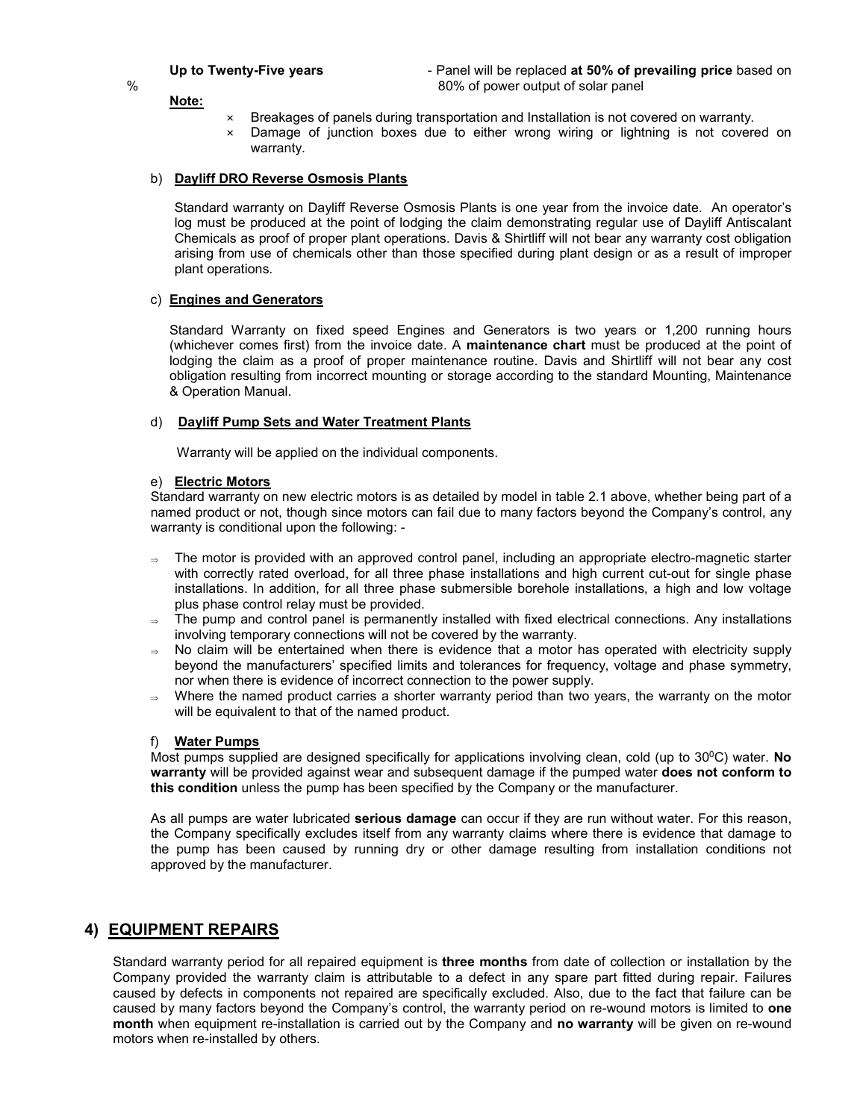Up to Twenty-Five years **Fig. 2018** - Panel will be replaced at 50% of prevailing price based on % 80% of power output of solar panel

#### **Note:**

- × Breakages of panels during transportation and Installation is not covered on warranty.
- × Damage of junction boxes due to either wrong wiring or lightning is not covered on warranty.

#### b) **Dayliff DRO Reverse Osmosis Plants**

Standard warranty on Dayliff Reverse Osmosis Plants is one year from the invoice date. An operator's log must be produced at the point of lodging the claim demonstrating regular use of Dayliff Antiscalant Chemicals as proof of proper plant operations. Davis & Shirtliff will not bear any warranty cost obligation arising from use of chemicals other than those specified during plant design or as a result of improper plant operations.

#### c) **Engines and Generators**

Standard Warranty on fixed speed Engines and Generators is two years or 1,200 running hours (whichever comes first) from the invoice date. A **maintenance chart** must be produced at the point of lodging the claim as a proof of proper maintenance routine. Davis and Shirtliff will not bear any cost obligation resulting from incorrect mounting or storage according to the standard Mounting, Maintenance & Operation Manual.

#### d) **Dayliff Pump Sets and Water Treatment Plants**

Warranty will be applied on the individual components.

#### e) **Electric Motors**

Standard warranty on new electric motors is as detailed by model in table 2.1 above, whether being part of a named product or not, though since motors can fail due to many factors beyond the Company's control, any warranty is conditional upon the following: -

- $\Rightarrow$  The motor is provided with an approved control panel, including an appropriate electro-magnetic starter with correctly rated overload, for all three phase installations and high current cut-out for single phase installations. In addition, for all three phase submersible borehole installations, a high and low voltage plus phase control relay must be provided.
- The pump and control panel is permanently installed with fixed electrical connections. Any installations involving temporary connections will not be covered by the warranty.
- $\Rightarrow$  No claim will be entertained when there is evidence that a motor has operated with electricity supply beyond the manufacturers' specified limits and tolerances for frequency, voltage and phase symmetry, nor when there is evidence of incorrect connection to the power supply.
- Where the named product carries a shorter warranty period than two years, the warranty on the motor will be equivalent to that of the named product.

#### f) **Water Pumps**

Most pumps supplied are designed specifically for applications involving clean, cold (up to 300C) water. **No warranty** will be provided against wear and subsequent damage if the pumped water **does not conform to this condition** unless the pump has been specified by the Company or the manufacturer.

As all pumps are water lubricated **serious damage** can occur if they are run without water. For this reason, the Company specifically excludes itself from any warranty claims where there is evidence that damage to the pump has been caused by running dry or other damage resulting from installation conditions not approved by the manufacturer.

#### **4) EQUIPMENT REPAIRS**

Standard warranty period for all repaired equipment is **three months** from date of collection or installation by the Company provided the warranty claim is attributable to a defect in any spare part fitted during repair. Failures caused by defects in components not repaired are specifically excluded. Also, due to the fact that failure can be caused by many factors beyond the Company's control, the warranty period on re-wound motors is limited to **one month** when equipment re-installation is carried out by the Company and **no warranty** will be given on re-wound motors when re-installed by others.